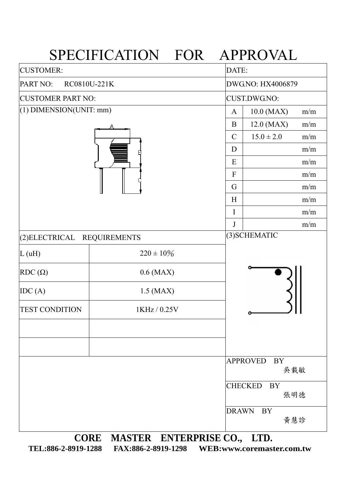|                             | SPECIFICATION FOR APPROVAL       |                        |                                    |  |  |  |
|-----------------------------|----------------------------------|------------------------|------------------------------------|--|--|--|
| <b>CUSTOMER:</b>            |                                  |                        | DATE:                              |  |  |  |
| PART NO:                    | RC0810U-221K                     | DWG.NO: HX4006879      |                                    |  |  |  |
| <b>CUSTOMER PART NO:</b>    |                                  | <b>CUST.DWG.NO:</b>    |                                    |  |  |  |
| $(1)$ DIMENSION(UNIT: mm)   |                                  | 10.0 (MAX)<br>m/m<br>A |                                    |  |  |  |
|                             |                                  | $\mathbf B$            | 12.0 (MAX)<br>m/m                  |  |  |  |
|                             |                                  | $\mathcal{C}$          | $15.0 \pm 2.0$<br>m/m              |  |  |  |
|                             |                                  | D                      | m/m                                |  |  |  |
|                             |                                  | E                      | m/m                                |  |  |  |
|                             |                                  | $\overline{F}$         | m/m                                |  |  |  |
|                             |                                  | G                      | m/m                                |  |  |  |
|                             |                                  | H                      | m/m                                |  |  |  |
|                             |                                  | $\mathbf I$            | m/m                                |  |  |  |
|                             |                                  | J                      | m/m                                |  |  |  |
| (2) ELECTRICAL REQUIREMENTS |                                  |                        | (3) SCHEMATIC                      |  |  |  |
| L(uH)                       | $220 \pm 10\%$                   |                        |                                    |  |  |  |
| $RDC(\Omega)$               | $0.6$ (MAX)                      |                        |                                    |  |  |  |
| IDC(A)                      | $1.5$ (MAX)                      |                        |                                    |  |  |  |
| <b>TEST CONDITION</b>       | 1KHz / 0.25V                     |                        |                                    |  |  |  |
|                             |                                  |                        |                                    |  |  |  |
|                             |                                  |                        | <b>APPROVED</b><br>BY              |  |  |  |
|                             |                                  |                        | 吳載敏                                |  |  |  |
|                             |                                  |                        | <b>CHECKED</b><br><b>BY</b><br>張明德 |  |  |  |
|                             |                                  | <b>DRAWN</b>           | BY<br>黃慧診                          |  |  |  |
|                             | CORE MASTER ENTERPRISE CO., LTD. |                        |                                    |  |  |  |

**TEL:886-2-8919-1288 FAX:886-2-8919-1298 WEB:www.coremaster.com.tw**